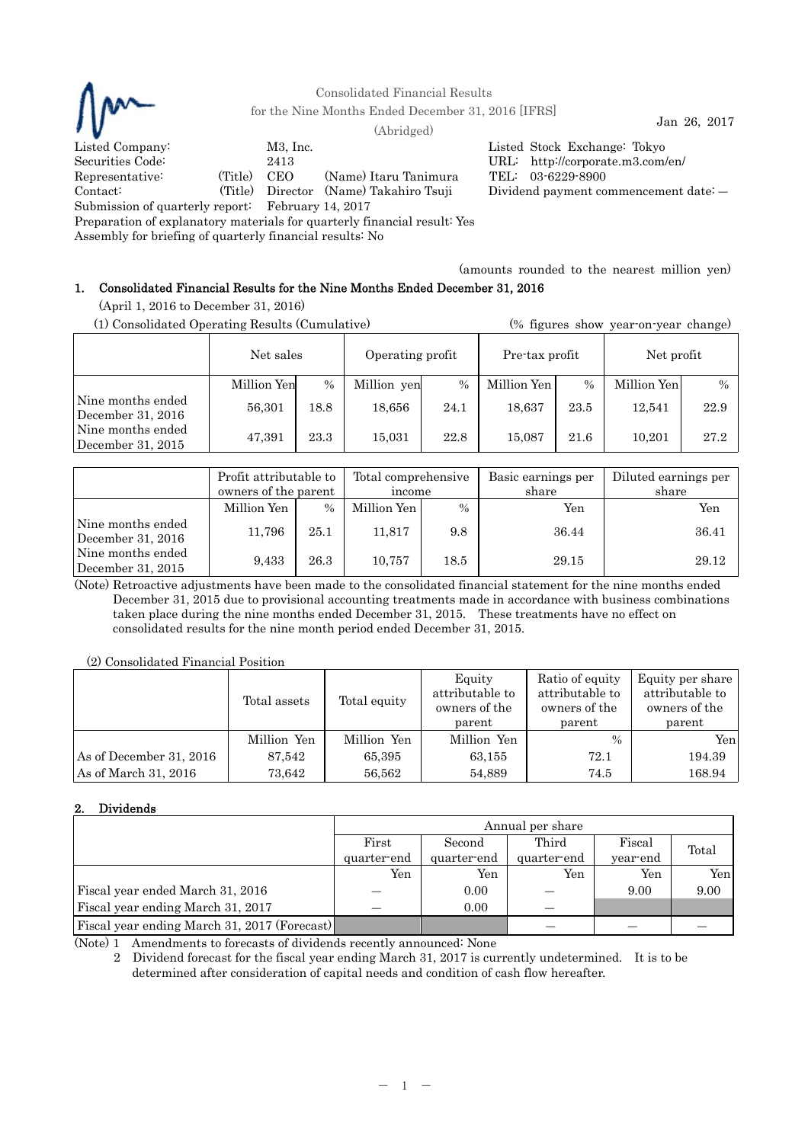

Consolidated Financial Results

for the Nine Months Ended December 31, 2016 [IFRS]  $\qquad \qquad$  Jan 26, 2017

Listed Company: M3, Inc. Listed Stock Exchange: Tokyo Securities Code: 2413 URL: http://corporate.m3.com/en/ Representative: (Title) CEO (Name) Itaru Tanimura TEL: 03-6229-8900 Contact: (Title) Director (Name) Takahiro Tsuji Dividend payment commencement date: ― Submission of quarterly report: February 14, 2017

Preparation of explanatory materials for quarterly financial result: Yes

Assembly for briefing of quarterly financial results: No

(amounts rounded to the nearest million yen)

# 1. Consolidated Financial Results for the Nine Months Ended December 31, 2016

(April 1, 2016 to December 31, 2016)

| (1) Consolidated Operating Results (Cumulative) |             |      |                  |      |                |               | (% figures show year-on-year change) |               |
|-------------------------------------------------|-------------|------|------------------|------|----------------|---------------|--------------------------------------|---------------|
|                                                 | Net sales   |      | Operating profit |      | Pre-tax profit |               | Net profit                           |               |
|                                                 | Million Yen | $\%$ | Million yen      | $\%$ | Million Yen    | $\frac{0}{0}$ | Million Yen                          | $\frac{0}{0}$ |
| Nine months ended<br>December 31, 2016          | 56,301      | 18.8 | 18,656           | 24.1 | 18,637         | 23.5          | 12.541                               | 22.9          |
| Nine months ended<br>December 31, $2015$        | 47,391      | 23.3 | 15,031           | 22.8 | 15.087         | 21.6          | 10.201                               | 27.2          |

|                                        | Profit attributable to<br>owners of the parent |               | Total comprehensive<br>income |      | Basic earnings per<br>share | Diluted earnings per<br>share |
|----------------------------------------|------------------------------------------------|---------------|-------------------------------|------|-----------------------------|-------------------------------|
|                                        | Million Yen                                    | $\frac{0}{0}$ | Million Yen                   | $\%$ | Yen                         | Yen                           |
| Nine months ended<br>December 31, 2016 | 11,796                                         | 25.1          | 11,817                        | 9.8  | 36.44                       | 36.41                         |
| Nine months ended<br>December 31, 2015 | 9,433                                          | 26.3          | 10,757                        | 18.5 | 29.15                       | 29.12                         |

(Note) Retroactive adjustments have been made to the consolidated financial statement for the nine months ended December 31, 2015 due to provisional accounting treatments made in accordance with business combinations taken place during the nine months ended December 31, 2015. These treatments have no effect on consolidated results for the nine month period ended December 31, 2015.

(2) Consolidated Financial Position

|                         | Total assets | Total equity | Equity<br>attributable to<br>owners of the<br>parent | Ratio of equity<br>attributable to<br>owners of the<br>parent | Equity per share<br>attributable to<br>owners of the<br>parent |
|-------------------------|--------------|--------------|------------------------------------------------------|---------------------------------------------------------------|----------------------------------------------------------------|
|                         | Million Yen  | Million Yen  | Million Yen                                          | $\%$                                                          | Yen                                                            |
| As of December 31, 2016 | 87.542       | 65,395       | 63,155                                               | 72.1                                                          | 194.39                                                         |
| As of March 31, 2016    | 73.642       | 56.562       | 54.889                                               | 74.5                                                          | 168.94                                                         |

# 2. Dividends

|                                              | Annual per share |             |             |          |       |  |  |
|----------------------------------------------|------------------|-------------|-------------|----------|-------|--|--|
|                                              | First            | Second      | Third       | Fiscal   | Total |  |  |
|                                              | quarter-end      | quarter-end | quarter-end | year-end |       |  |  |
|                                              | Yen              | Yen         | Yen         | Yen      | Yen   |  |  |
| Fiscal year ended March 31, 2016             |                  | 0.00        |             | 9.00     | 9.00  |  |  |
| Fiscal year ending March 31, 2017            |                  | 0.00        |             |          |       |  |  |
| Fiscal year ending March 31, 2017 (Forecast) |                  |             |             |          |       |  |  |

(Note) 1 Amendments to forecasts of dividends recently announced: None

2 Dividend forecast for the fiscal year ending March 31, 2017 is currently undetermined. It is to be determined after consideration of capital needs and condition of cash flow hereafter.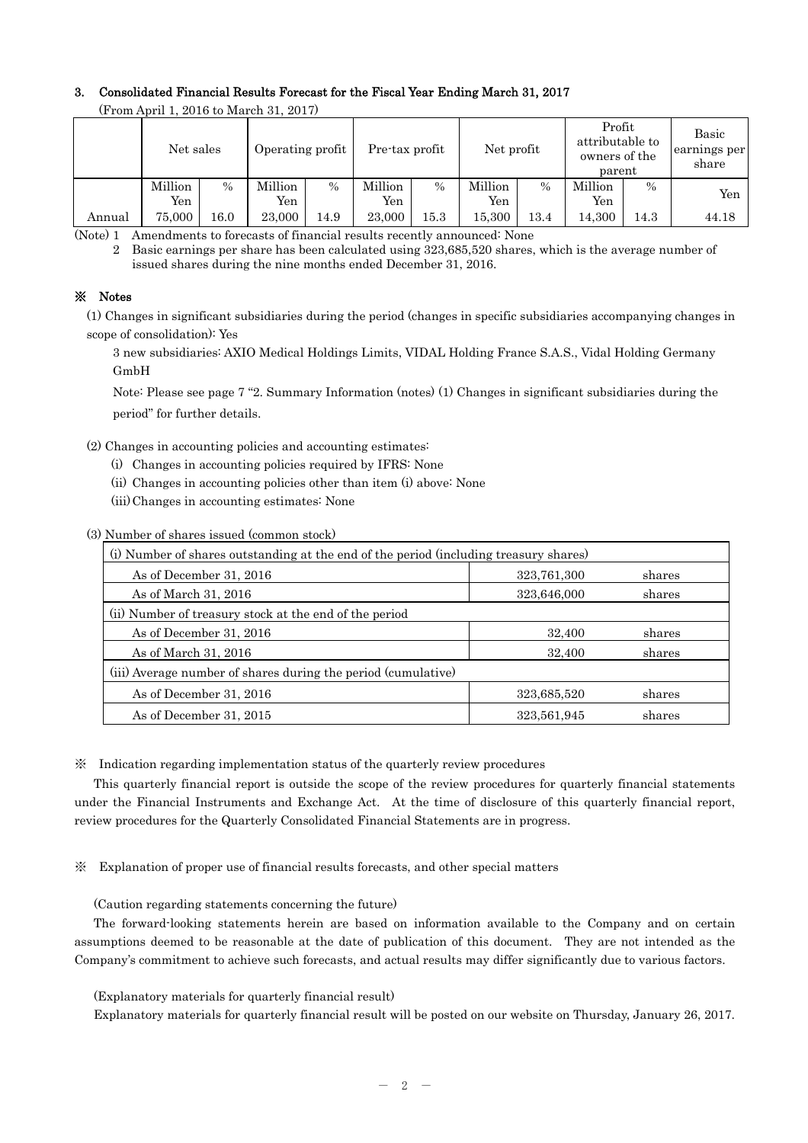## 3. Consolidated Financial Results Forecast for the Fiscal Year Ending March 31, 2017

| $(110111 \text{ A} \mu 11111, 2010 \text{ W} \text{M} \text{a} 1011, 2011)$ |                |               |                  |               |                |                              |                |                                                      |                |                                |       |
|-----------------------------------------------------------------------------|----------------|---------------|------------------|---------------|----------------|------------------------------|----------------|------------------------------------------------------|----------------|--------------------------------|-------|
|                                                                             | Net sales      |               | Operating profit |               |                | Net profit<br>Pre-tax profit |                | Profit<br>attributable to<br>owners of the<br>parent |                | Basic<br>earnings per<br>share |       |
|                                                                             | Million<br>Yen | $\frac{0}{0}$ | Million<br>Yen   | $\frac{0}{0}$ | Million<br>Yen | $\%$                         | Million<br>Yen | $\%$                                                 | Million<br>Yen | $\frac{0}{0}$                  | Yen   |
| Annual                                                                      | 75,000         | 16.0          | 23,000           | 14.9          | 23,000         | 15.3                         | 15.300         | 13.4                                                 | 14.300         | 14.3                           | 44.18 |

(From April 1, 2016 to March 31, 2017)

(Note) 1 Amendments to forecasts of financial results recently announced: None

2 Basic earnings per share has been calculated using 323,685,520 shares, which is the average number of issued shares during the nine months ended December 31, 2016.

## ※ Notes

(1) Changes in significant subsidiaries during the period (changes in specific subsidiaries accompanying changes in scope of consolidation): Yes

3 new subsidiaries: AXIO Medical Holdings Limits, VIDAL Holding France S.A.S., Vidal Holding Germany GmbH

Note: Please see page 7 "2. Summary Information (notes) (1) Changes in significant subsidiaries during the period" for further details.

(2) Changes in accounting policies and accounting estimates:

- (i) Changes in accounting policies required by IFRS: None
- (ii) Changes in accounting policies other than item (i) above: None
- (iii) Changes in accounting estimates: None

(3) Number of shares issued (common stock)

| (i) Number of shares outstanding at the end of the period (including treasury shares) |             |        |  |  |  |
|---------------------------------------------------------------------------------------|-------------|--------|--|--|--|
| As of December 31, 2016                                                               | 323,761,300 | shares |  |  |  |
| As of March 31, 2016                                                                  | 323,646,000 | shares |  |  |  |
| (ii) Number of treasury stock at the end of the period                                |             |        |  |  |  |
| As of December 31, 2016                                                               | 32,400      | shares |  |  |  |
| As of March 31, 2016                                                                  | 32,400      | shares |  |  |  |
| (iii) Average number of shares during the period (cumulative)                         |             |        |  |  |  |
| As of December 31, 2016                                                               | 323,685,520 | shares |  |  |  |
| As of December 31, 2015                                                               | 323,561,945 | shares |  |  |  |

※ Indication regarding implementation status of the quarterly review procedures

This quarterly financial report is outside the scope of the review procedures for quarterly financial statements under the Financial Instruments and Exchange Act. At the time of disclosure of this quarterly financial report, review procedures for the Quarterly Consolidated Financial Statements are in progress.

※ Explanation of proper use of financial results forecasts, and other special matters

(Caution regarding statements concerning the future)

The forward-looking statements herein are based on information available to the Company and on certain assumptions deemed to be reasonable at the date of publication of this document. They are not intended as the Company's commitment to achieve such forecasts, and actual results may differ significantly due to various factors.

(Explanatory materials for quarterly financial result)

Explanatory materials for quarterly financial result will be posted on our website on Thursday, January 26, 2017.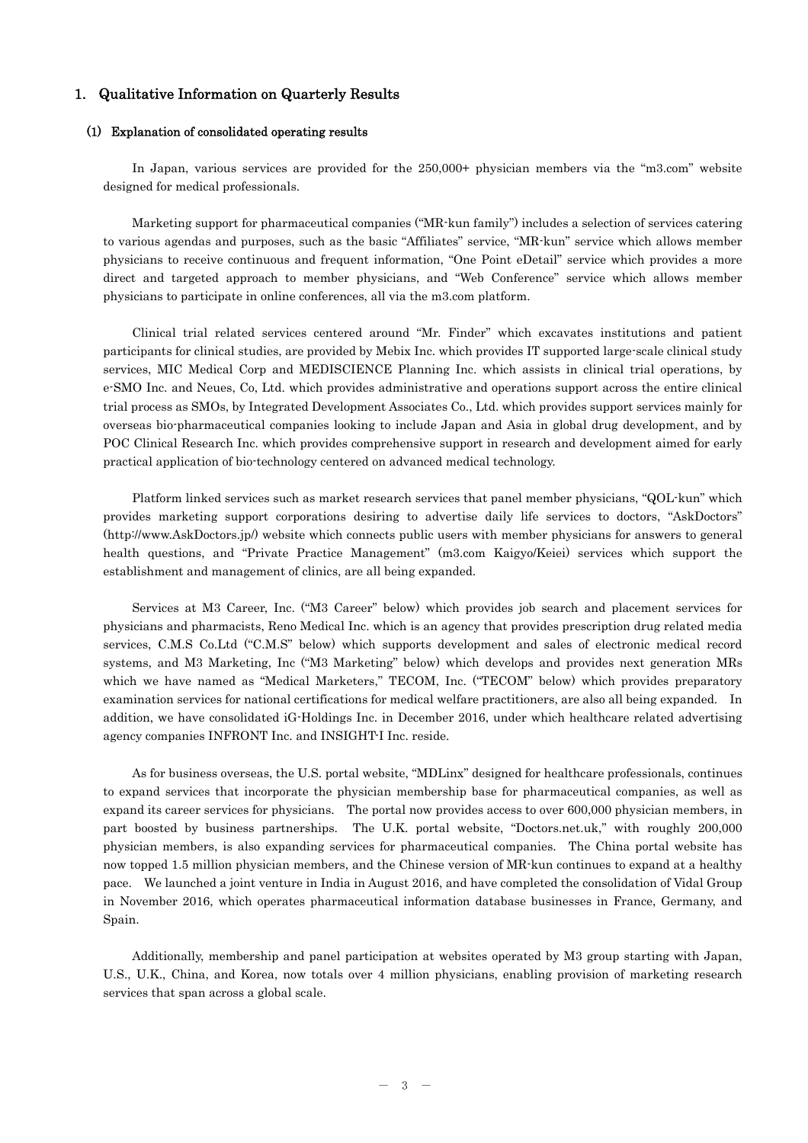## 1. Qualitative Information on Quarterly Results

### (1) Explanation of consolidated operating results

In Japan, various services are provided for the 250,000+ physician members via the "m3.com" website designed for medical professionals.

Marketing support for pharmaceutical companies ("MR-kun family") includes a selection of services catering to various agendas and purposes, such as the basic "Affiliates" service, "MR-kun" service which allows member physicians to receive continuous and frequent information, "One Point eDetail" service which provides a more direct and targeted approach to member physicians, and "Web Conference" service which allows member physicians to participate in online conferences, all via the m3.com platform.

Clinical trial related services centered around "Mr. Finder" which excavates institutions and patient participants for clinical studies, are provided by Mebix Inc. which provides IT supported large-scale clinical study services, MIC Medical Corp and MEDISCIENCE Planning Inc. which assists in clinical trial operations, by e-SMO Inc. and Neues, Co, Ltd. which provides administrative and operations support across the entire clinical trial process as SMOs, by Integrated Development Associates Co., Ltd. which provides support services mainly for overseas bio-pharmaceutical companies looking to include Japan and Asia in global drug development, and by POC Clinical Research Inc. which provides comprehensive support in research and development aimed for early practical application of bio-technology centered on advanced medical technology.

Platform linked services such as market research services that panel member physicians, "QOL-kun" which provides marketing support corporations desiring to advertise daily life services to doctors, "AskDoctors" (http://www.AskDoctors.jp/) website which connects public users with member physicians for answers to general health questions, and "Private Practice Management" (m3.com Kaigyo/Keiei) services which support the establishment and management of clinics, are all being expanded.

Services at M3 Career, Inc. ("M3 Career" below) which provides job search and placement services for physicians and pharmacists, Reno Medical Inc. which is an agency that provides prescription drug related media services, C.M.S Co.Ltd ("C.M.S" below) which supports development and sales of electronic medical record systems, and M3 Marketing, Inc ("M3 Marketing" below) which develops and provides next generation MRs which we have named as "Medical Marketers," TECOM, Inc. ("TECOM" below) which provides preparatory examination services for national certifications for medical welfare practitioners, are also all being expanded. In addition, we have consolidated iG-Holdings Inc. in December 2016, under which healthcare related advertising agency companies INFRONT Inc. and INSIGHT-I Inc. reside.

As for business overseas, the U.S. portal website, "MDLinx" designed for healthcare professionals, continues to expand services that incorporate the physician membership base for pharmaceutical companies, as well as expand its career services for physicians. The portal now provides access to over 600,000 physician members, in part boosted by business partnerships. The U.K. portal website, "Doctors.net.uk," with roughly 200,000 physician members, is also expanding services for pharmaceutical companies. The China portal website has now topped 1.5 million physician members, and the Chinese version of MR-kun continues to expand at a healthy We launched a joint venture in India in August 2016, and have completed the consolidation of Vidal Group in November 2016, which operates pharmaceutical information database businesses in France, Germany, and Spain.

Additionally, membership and panel participation at websites operated by M3 group starting with Japan, U.S., U.K., China, and Korea, now totals over 4 million physicians, enabling provision of marketing research services that span across a global scale.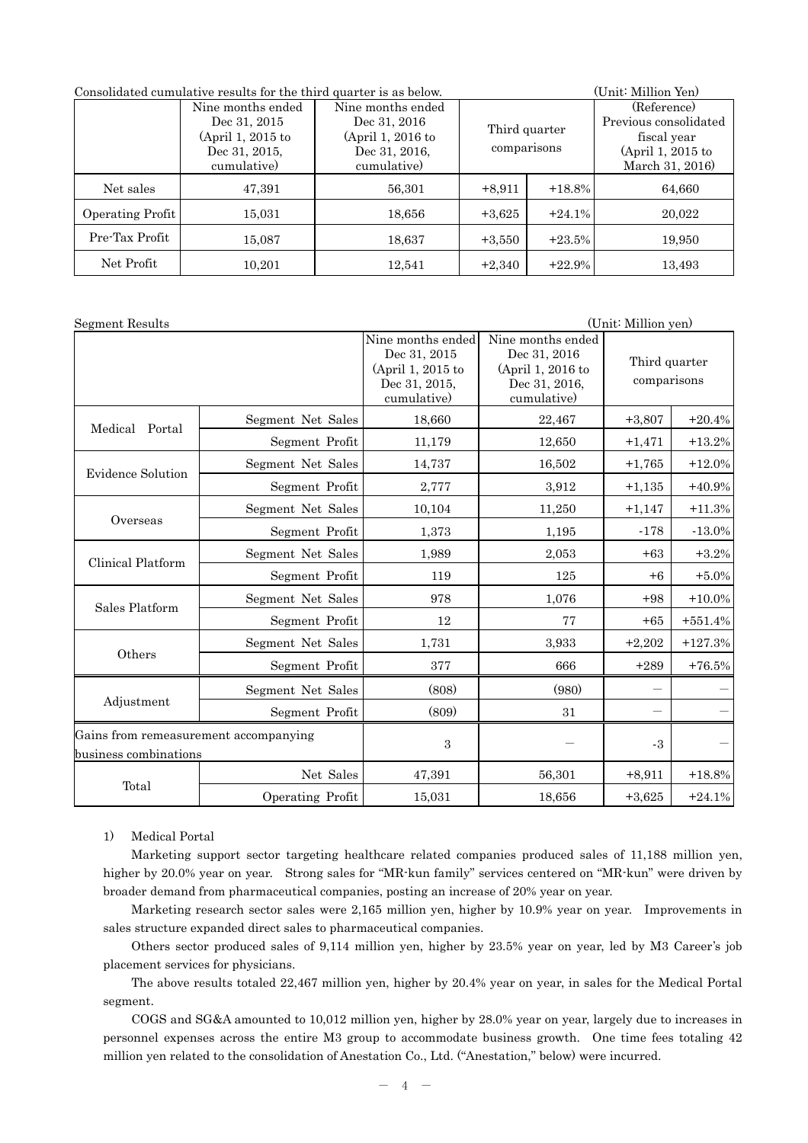| Consolidated cumulative results for the third quarter is as below. | (Unit: Million Yen)                                               |                   |                                                                              |           |                                                                              |
|--------------------------------------------------------------------|-------------------------------------------------------------------|-------------------|------------------------------------------------------------------------------|-----------|------------------------------------------------------------------------------|
|                                                                    | Nine months ended                                                 | Nine months ended | Dec 31, 2016<br>Third quarter<br>comparisons<br>Dec 31, 2016.<br>cumulative) |           | (Reference)                                                                  |
|                                                                    | Dec 31, 2015<br>(April 1, 2015 to<br>Dec 31, 2015,<br>cumulative) | (April 1, 2016 to |                                                                              |           | Previous consolidated<br>fiscal year<br>(April 1, 2015 to<br>March 31, 2016) |
| Net sales                                                          | 47,391                                                            | 56,301            | $+8,911$                                                                     | $+18.8\%$ | 64,660                                                                       |
| Operating Profit                                                   | 15,031                                                            | 18,656            | $+3,625$                                                                     | $+24.1%$  | 20,022                                                                       |
| Pre-Tax Profit                                                     | 15,087                                                            | 18,637            | $+3,550$                                                                     | $+23.5%$  | 19,950                                                                       |
| Net Profit                                                         | 10,201                                                            | 12,541            | $+2,340$                                                                     | $+22.9%$  | 13,493                                                                       |

| Segment Results                                                |                   |                                                                                        |                                                                                        | (Unit: Million yen)          |            |
|----------------------------------------------------------------|-------------------|----------------------------------------------------------------------------------------|----------------------------------------------------------------------------------------|------------------------------|------------|
|                                                                |                   | Nine months ended<br>Dec 31, 2015<br>(April 1, 2015 to<br>Dec 31, 2015,<br>cumulative) | Nine months ended<br>Dec 31, 2016<br>(April 1, 2016 to<br>Dec 31, 2016,<br>cumulative) | Third quarter<br>comparisons |            |
| Medical Portal                                                 | Segment Net Sales | 18,660                                                                                 | 22,467                                                                                 | $+3,807$                     | $+20.4%$   |
|                                                                | Segment Profit    | 11,179                                                                                 | 12,650                                                                                 | $+1,471$                     | $+13.2%$   |
| Evidence Solution                                              | Segment Net Sales | 14,737                                                                                 | 16,502                                                                                 | $+1,765$                     | $+12.0%$   |
|                                                                | Segment Profit    | 2,777                                                                                  | 3,912                                                                                  | $+1,135$                     | $+40.9%$   |
|                                                                | Segment Net Sales | 10,104                                                                                 | 11,250                                                                                 | $+1,147$                     | $+11.3%$   |
| Overseas                                                       | Segment Profit    | 1,373                                                                                  | 1,195                                                                                  | $-178$                       | $-13.0%$   |
| Clinical Platform                                              | Segment Net Sales | 1,989                                                                                  | 2,053                                                                                  | $+63$                        | $+3.2%$    |
|                                                                | Segment Profit    | 119                                                                                    | 125                                                                                    | $+6$                         | $+5.0\%$   |
| Sales Platform                                                 | Segment Net Sales | 978                                                                                    | 1,076                                                                                  | $+98$                        | $+10.0\%$  |
|                                                                | Segment Profit    | 12                                                                                     | 77                                                                                     | $+65$                        | $+551.4%$  |
|                                                                | Segment Net Sales | 1,731                                                                                  | 3,933                                                                                  | $+2,202$                     | $+127.3\%$ |
| Others                                                         | Segment Profit    | 377                                                                                    | 666                                                                                    | $+289$                       | $+76.5%$   |
|                                                                | Segment Net Sales | (808)                                                                                  | (980)                                                                                  |                              |            |
| Adjustment                                                     | Segment Profit    | (809)                                                                                  | 31                                                                                     |                              |            |
| Gains from remeasurement accompanying<br>business combinations |                   | $\sqrt{3}$                                                                             |                                                                                        | $-3$                         |            |
|                                                                | Net Sales         | 47,391                                                                                 | 56,301                                                                                 | $+8,911$                     | $+18.8%$   |
| Total                                                          | Operating Profit  | 15,031                                                                                 | 18,656                                                                                 | $+3,625$                     | $+24.1%$   |

## 1) Medical Portal

Marketing support sector targeting healthcare related companies produced sales of 11,188 million yen, higher by 20.0% year on year. Strong sales for "MR-kun family" services centered on "MR-kun" were driven by broader demand from pharmaceutical companies, posting an increase of 20% year on year.

Marketing research sector sales were 2,165 million yen, higher by 10.9% year on year. Improvements in sales structure expanded direct sales to pharmaceutical companies.

Others sector produced sales of 9,114 million yen, higher by 23.5% year on year, led by M3 Career's job placement services for physicians.

The above results totaled 22,467 million yen, higher by 20.4% year on year, in sales for the Medical Portal segment.

 COGS and SG&A amounted to 10,012 million yen, higher by 28.0% year on year, largely due to increases in personnel expenses across the entire M3 group to accommodate business growth. One time fees totaling 42 million yen related to the consolidation of Anestation Co., Ltd. ("Anestation," below) were incurred.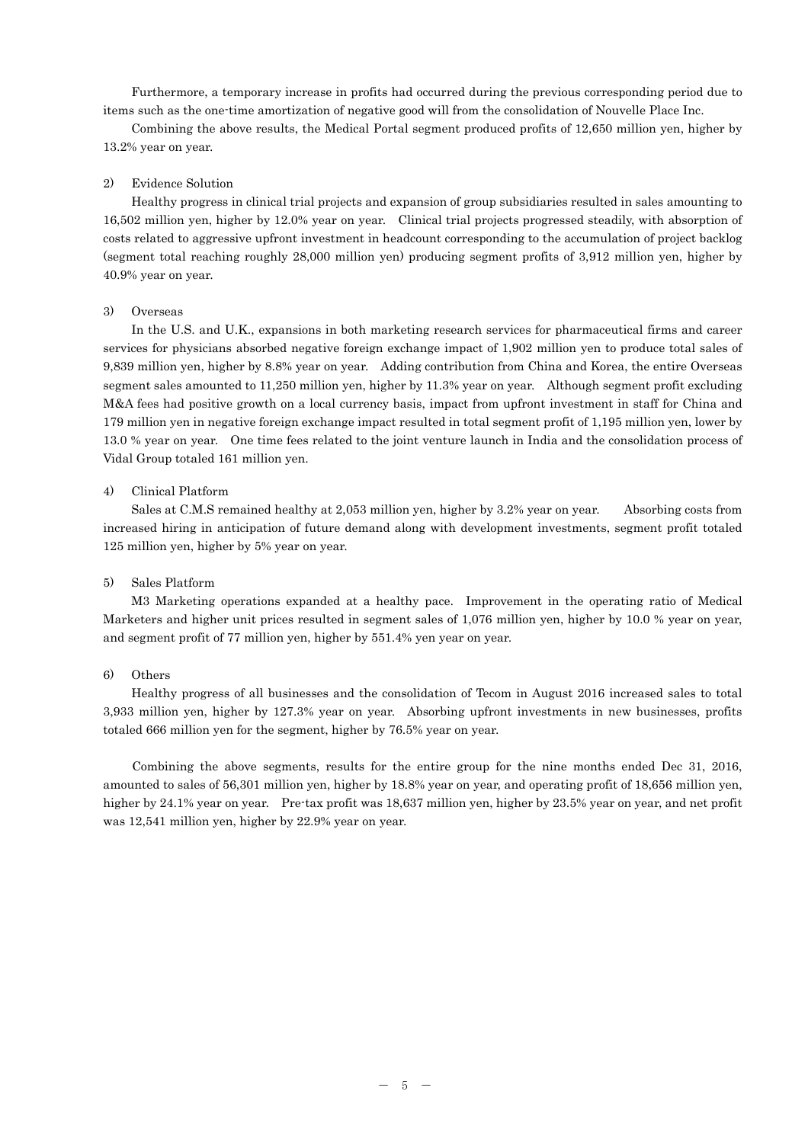Furthermore, a temporary increase in profits had occurred during the previous corresponding period due to items such as the one-time amortization of negative good will from the consolidation of Nouvelle Place Inc.

 Combining the above results, the Medical Portal segment produced profits of 12,650 million yen, higher by 13.2% year on year.

## 2) Evidence Solution

Healthy progress in clinical trial projects and expansion of group subsidiaries resulted in sales amounting to 16,502 million yen, higher by 12.0% year on year. Clinical trial projects progressed steadily, with absorption of costs related to aggressive upfront investment in headcount corresponding to the accumulation of project backlog (segment total reaching roughly 28,000 million yen) producing segment profits of 3,912 million yen, higher by 40.9% year on year.

### 3) Overseas

In the U.S. and U.K., expansions in both marketing research services for pharmaceutical firms and career services for physicians absorbed negative foreign exchange impact of 1,902 million yen to produce total sales of 9,839 million yen, higher by 8.8% year on year. Adding contribution from China and Korea, the entire Overseas segment sales amounted to 11,250 million yen, higher by 11.3% year on year. Although segment profit excluding M&A fees had positive growth on a local currency basis, impact from upfront investment in staff for China and 179 million yen in negative foreign exchange impact resulted in total segment profit of 1,195 million yen, lower by 13.0 % year on year. One time fees related to the joint venture launch in India and the consolidation process of Vidal Group totaled 161 million yen.

## 4) Clinical Platform

Sales at C.M.S remained healthy at 2,053 million yen, higher by 3.2% year on year. Absorbing costs from increased hiring in anticipation of future demand along with development investments, segment profit totaled 125 million yen, higher by 5% year on year.

### 5) Sales Platform

M3 Marketing operations expanded at a healthy pace. Improvement in the operating ratio of Medical Marketers and higher unit prices resulted in segment sales of 1,076 million yen, higher by 10.0 % year on year, and segment profit of 77 million yen, higher by 551.4% yen year on year.

### 6) Others

Healthy progress of all businesses and the consolidation of Tecom in August 2016 increased sales to total 3,933 million yen, higher by 127.3% year on year. Absorbing upfront investments in new businesses, profits totaled 666 million yen for the segment, higher by 76.5% year on year.

Combining the above segments, results for the entire group for the nine months ended Dec 31, 2016, amounted to sales of 56,301 million yen, higher by 18.8% year on year, and operating profit of 18,656 million yen, higher by 24.1% year on year. Pre-tax profit was 18,637 million yen, higher by 23.5% year on year, and net profit was 12,541 million yen, higher by 22.9% year on year.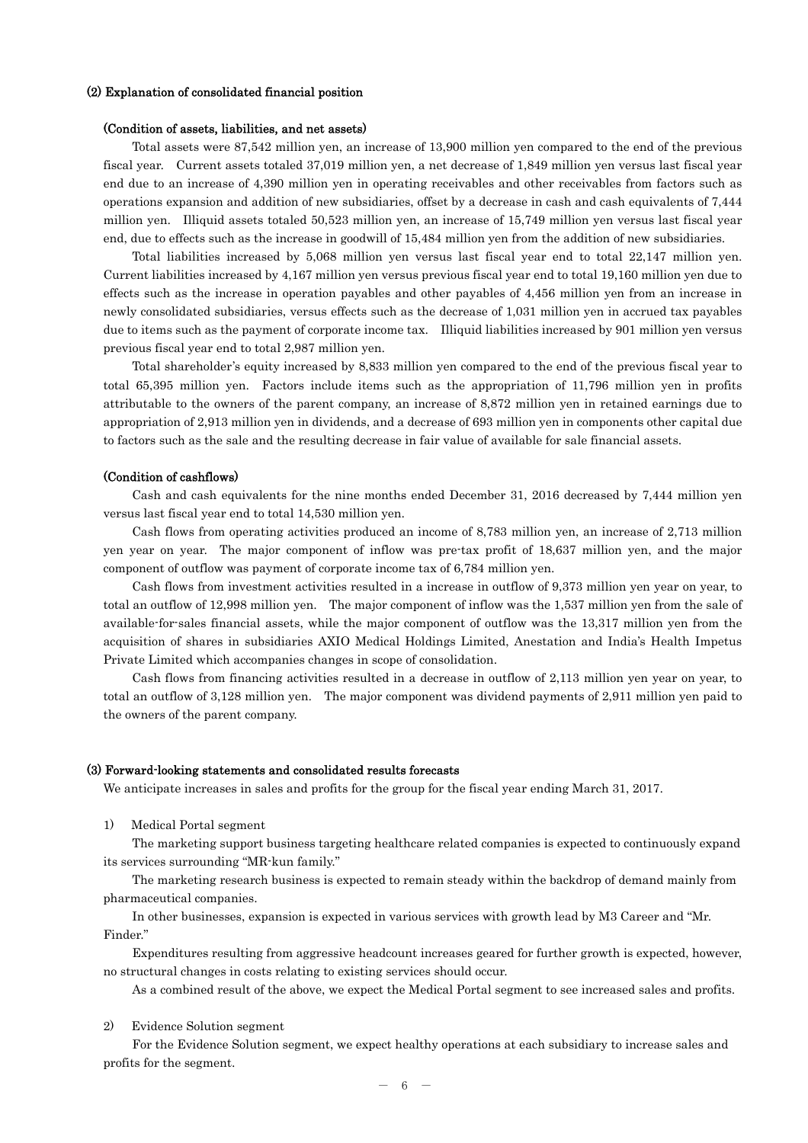#### (2) Explanation of consolidated financial position

### (Condition of assets, liabilities, and net assets)

Total assets were 87,542 million yen, an increase of 13,900 million yen compared to the end of the previous fiscal year. Current assets totaled 37,019 million yen, a net decrease of 1,849 million yen versus last fiscal year end due to an increase of 4,390 million yen in operating receivables and other receivables from factors such as operations expansion and addition of new subsidiaries, offset by a decrease in cash and cash equivalents of 7,444 million yen. Illiquid assets totaled 50,523 million yen, an increase of 15,749 million yen versus last fiscal year end, due to effects such as the increase in goodwill of 15,484 million yen from the addition of new subsidiaries.

Total liabilities increased by 5,068 million yen versus last fiscal year end to total 22,147 million yen. Current liabilities increased by 4,167 million yen versus previous fiscal year end to total 19,160 million yen due to effects such as the increase in operation payables and other payables of 4,456 million yen from an increase in newly consolidated subsidiaries, versus effects such as the decrease of 1,031 million yen in accrued tax payables due to items such as the payment of corporate income tax. Illiquid liabilities increased by 901 million yen versus previous fiscal year end to total 2,987 million yen.

Total shareholder's equity increased by 8,833 million yen compared to the end of the previous fiscal year to total 65,395 million yen. Factors include items such as the appropriation of 11,796 million yen in profits attributable to the owners of the parent company, an increase of 8,872 million yen in retained earnings due to appropriation of 2,913 million yen in dividends, and a decrease of 693 million yen in components other capital due to factors such as the sale and the resulting decrease in fair value of available for sale financial assets.

### (Condition of cashflows)

Cash and cash equivalents for the nine months ended December 31, 2016 decreased by 7,444 million yen versus last fiscal year end to total 14,530 million yen.

Cash flows from operating activities produced an income of 8,783 million yen, an increase of 2,713 million yen year on year. The major component of inflow was pre-tax profit of 18,637 million yen, and the major component of outflow was payment of corporate income tax of 6,784 million yen.

Cash flows from investment activities resulted in a increase in outflow of 9,373 million yen year on year, to total an outflow of 12,998 million yen. The major component of inflow was the 1,537 million yen from the sale of available-for-sales financial assets, while the major component of outflow was the 13,317 million yen from the acquisition of shares in subsidiaries AXIO Medical Holdings Limited, Anestation and India's Health Impetus Private Limited which accompanies changes in scope of consolidation.

Cash flows from financing activities resulted in a decrease in outflow of 2,113 million yen year on year, to total an outflow of 3,128 million yen. The major component was dividend payments of 2,911 million yen paid to the owners of the parent company.

### (3) Forward-looking statements and consolidated results forecasts

We anticipate increases in sales and profits for the group for the fiscal year ending March 31, 2017.

1) Medical Portal segment

The marketing support business targeting healthcare related companies is expected to continuously expand its services surrounding "MR-kun family."

The marketing research business is expected to remain steady within the backdrop of demand mainly from pharmaceutical companies.

In other businesses, expansion is expected in various services with growth lead by M3 Career and "Mr. Finder."

Expenditures resulting from aggressive headcount increases geared for further growth is expected, however, no structural changes in costs relating to existing services should occur.

As a combined result of the above, we expect the Medical Portal segment to see increased sales and profits.

2) Evidence Solution segment

For the Evidence Solution segment, we expect healthy operations at each subsidiary to increase sales and profits for the segment.